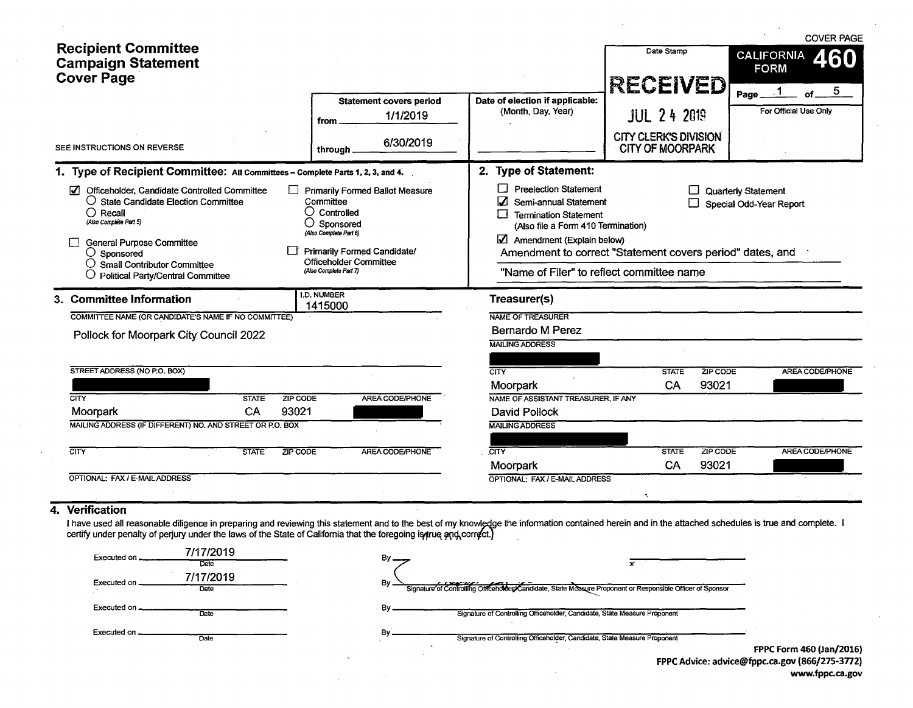|                                                                                                                                                                                                                                                                                                                                                                                                                                                                                                                       | <b>Recipient Committee</b><br><b>Campaign Statement</b><br><b>Cover Page</b>                                                    | <b>Statement covers period</b><br>1/1/2019<br>from | Date of election if applicable:<br>(Month, Day, Year)                                                                                                                                                                                                                                                                | Date Stamp<br><b>RECEIVED</b><br><b>JUL 24 2019</b>     | <b>COVER PAGE</b><br><b>CALIFORNIA</b><br>460<br><b>FORM</b><br>5<br>Page_<br>For Official Use Only |  |  |  |  |
|-----------------------------------------------------------------------------------------------------------------------------------------------------------------------------------------------------------------------------------------------------------------------------------------------------------------------------------------------------------------------------------------------------------------------------------------------------------------------------------------------------------------------|---------------------------------------------------------------------------------------------------------------------------------|----------------------------------------------------|----------------------------------------------------------------------------------------------------------------------------------------------------------------------------------------------------------------------------------------------------------------------------------------------------------------------|---------------------------------------------------------|-----------------------------------------------------------------------------------------------------|--|--|--|--|
|                                                                                                                                                                                                                                                                                                                                                                                                                                                                                                                       | SEE INSTRUCTIONS ON REVERSE                                                                                                     | 6/30/2019<br>through .                             |                                                                                                                                                                                                                                                                                                                      | <b>CITY CLERK'S DIVISION</b><br><b>CITY OF MOORPARK</b> |                                                                                                     |  |  |  |  |
|                                                                                                                                                                                                                                                                                                                                                                                                                                                                                                                       | 1. Type of Recipient Committee: All Committees - Complete Parts 1, 2, 3, and 4.                                                 |                                                    | 2. Type of Statement:                                                                                                                                                                                                                                                                                                |                                                         |                                                                                                     |  |  |  |  |
| Officeholder, Candidate Controlled Committee<br>Primarily Formed Ballot Measure<br>$\overline{v}$<br>$\bigcirc$ State Candidate Election Committee<br>Committee<br>$\bigcirc$ Controlled<br>$\bigcirc$ Recall<br>(Also Complete Part 5)<br>Sponsored<br>(Also Complete Part 6)<br><b>General Purpose Committee</b><br>Primarily Formed Candidate/<br>$\bigcirc$ Sponsored<br><b>Officeholder Committee</b><br>$\bigcirc$ Small Contributor Committee<br>(Also Complete Part 7)<br>O Political Party/Central Committee |                                                                                                                                 |                                                    | <b>Preelection Statement</b><br>Quarterly Statement<br>Semi-annual Statement<br>Special Odd-Year Report<br><b>Termination Statement</b><br>(Also file a Form 410 Termination)<br>Amendment (Explain below)<br>Amendment to correct "Statement covers period" dates, and<br>"Name of Filer" to reflect committee name |                                                         |                                                                                                     |  |  |  |  |
|                                                                                                                                                                                                                                                                                                                                                                                                                                                                                                                       | 3. Committee Information                                                                                                        | <b>I.D. NUMBER</b><br>1415000                      | Treasurer(s)                                                                                                                                                                                                                                                                                                         |                                                         |                                                                                                     |  |  |  |  |
|                                                                                                                                                                                                                                                                                                                                                                                                                                                                                                                       | COMMITTEE NAME (OR CANDIDATE'S NAME IF NO COMMITTEE)<br>Pollock for Moorpark City Council 2022                                  |                                                    | NAME OF TREASURER<br><b>Bernardo M Perez</b><br><b>MAILING ADDRESS</b>                                                                                                                                                                                                                                               |                                                         |                                                                                                     |  |  |  |  |
|                                                                                                                                                                                                                                                                                                                                                                                                                                                                                                                       | STREET ADDRESS (NO P.O. BOX)                                                                                                    |                                                    | $\overline{\text{CITY}}$                                                                                                                                                                                                                                                                                             | ZIP CODE<br><b>STATE</b>                                | AREA CODE/PHONE                                                                                     |  |  |  |  |
|                                                                                                                                                                                                                                                                                                                                                                                                                                                                                                                       |                                                                                                                                 |                                                    | Moorpark                                                                                                                                                                                                                                                                                                             | 93021<br>CA                                             |                                                                                                     |  |  |  |  |
|                                                                                                                                                                                                                                                                                                                                                                                                                                                                                                                       | <b>CITY</b><br>ZIP CODE<br><b>STATE</b><br>CA<br>93021<br>Moorpark<br>MAILING ADDRESS (IF DIFFERENT) NO. AND STREET OR P.O. BOX | AREA CODE/PHONE                                    | NAME OF ASSISTANT TREASURER, IF ANY<br>David Pollock<br><b>MAILING ADDRESS</b>                                                                                                                                                                                                                                       |                                                         |                                                                                                     |  |  |  |  |
|                                                                                                                                                                                                                                                                                                                                                                                                                                                                                                                       | <b>CITY</b><br><b>STATE</b><br>ZIP CODE                                                                                         | AREA CODE/PHONE                                    | $\overline{\text{CITY}}$                                                                                                                                                                                                                                                                                             | ZIP CODE<br><b>STATE</b>                                | AREA CODE/PHONE                                                                                     |  |  |  |  |
|                                                                                                                                                                                                                                                                                                                                                                                                                                                                                                                       |                                                                                                                                 |                                                    | Moorpark                                                                                                                                                                                                                                                                                                             | 93021<br><b>CA</b>                                      |                                                                                                     |  |  |  |  |
|                                                                                                                                                                                                                                                                                                                                                                                                                                                                                                                       | OPTIONAL: FAX / E-MAIL ADDRESS<br><i>Marification</i>                                                                           |                                                    | OPTIONAL: FAX / E-MAIL ADDRESS                                                                                                                                                                                                                                                                                       | ×.                                                      |                                                                                                     |  |  |  |  |

#### 4. Verification

I have used all reasonable diligence in preparing and reviewing this statement and to the best of my knowledge the information contained herein and in the attached schedules is true and complete. certify under penalty of perjury under the laws of the State of California that the foregoing is true and correct.

| 7/17/2019<br>Executed on<br>Date   | $Bv$ $\qquad$                                                                                                   |
|------------------------------------|-----------------------------------------------------------------------------------------------------------------|
| 7/17/2019<br>Executed on _<br>Date | Bv<br>Signature of Controlling Officenote examiliate, State Measure Proponent or Responsible Officer of Sponsor |
| Executed on $\equiv$<br>Date       | Signature of Controlling Officeholder, Candidate, State Measure Proponent                                       |
| Executed on _<br>Date              | Signature of Controlling Officeholder, Candidate, State Measure Proponent                                       |
|                                    | FPPC Form 460 (Jan/2016)<br>FPPC Advice: advice@fppc.ca.gov (866/275-3772)                                      |

www.fppc.ca.gov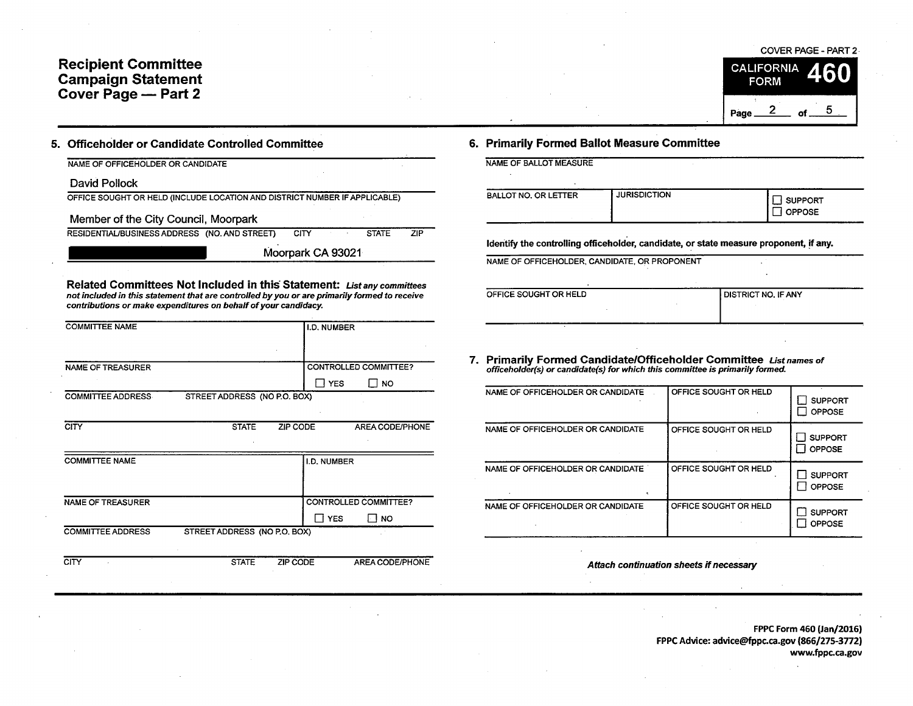# **Recipient Committee Campaign Statement Cover Page - Part 2**

### 5. Officeholder or Candidate Controlled Committee

NAME OF OFFICEHOLDER OR CANDIDATE

David Pollock

OFFICE SOUGHT OR HELD (INCLUDE LOCATION AND DISTRICT NUMBER IF APPLICABLE)

Member of the City Council, Moorpark

RESIDENTIAL/BUSINESS ADDRESS (NO. AND STREET) CITY STATE ZIP

Moorpark CA 93021

Related Committees Not Included in this Statement: List any committees not included in this statement that are controlled by you or are primarily formed to receive contributions or make expenditures on behalf of your candidacy.

| <b>COMMITTEE NAME</b>    | I.D. NUMBER                                 |
|--------------------------|---------------------------------------------|
|                          |                                             |
| <b>NAME OF TREASURER</b> | CONTROLLED COMMITTEE?                       |
|                          | I YES<br>I I NO                             |
| <b>COMMITTEE ADDRESS</b> | STREET ADDRESS (NO P.O. BOX)                |
|                          |                                             |
| <b>CITY</b>              | <b>STATE</b><br>ZIP CODE<br>AREA CODE/PHONE |
|                          |                                             |
| <b>COMMITTEE NAME</b>    | I.D. NUMBER                                 |
|                          |                                             |
|                          |                                             |
| <b>NAME OF TREASURER</b> | <b>CONTROLLED COMMITTEE?</b>                |
|                          | $\Box$ YES<br>⊟ no                          |
| <b>COMMITTEE ADDRESS</b> | STREET ADDRESS (NO P.O. BOX)                |
|                          |                                             |
| <b>CITY</b>              | <b>STATE</b><br>ZIP CODE<br>AREA CODE/PHONE |

COVER PAGE - PART 2 · **CALIFORNIA FORM**  $\frac{2}{\text{of}}$  of  $\frac{5}{\text{of}}$ Page\_

### 6. Primarily Formed Ballot Measure Committee

| NAME OF BALLOT MEASURE      |                     |                          |  |  |  |
|-----------------------------|---------------------|--------------------------|--|--|--|
| <b>BALLOT NO. OR LETTER</b> | <b>JURISDICTION</b> | SUPPORT<br><b>OPPOSE</b> |  |  |  |

Identify the controlling officeholder, candidate, or state measure proponent, if any.

NAME OF OFFICEHOLDER, CANDIDATE, OR PROPONENT

| OFFICE SOUGHT OR HELD | <b>DISTRICT NO. IF ANY</b> |
|-----------------------|----------------------------|
|                       |                            |
|                       |                            |
|                       |                            |

7. Primarily Formed Candidate/Officeholder Committee List names of officeholder(s) or candidate(s) for which this committee is primarily formed.

| NAME OF OFFICEHOLDER OR CANDIDATE | OFFICE SOUGHT OR HELD | <b>SUPPORT</b><br>OPPOSE        |
|-----------------------------------|-----------------------|---------------------------------|
| NAME OF OFFICEHOLDER OR CANDIDATE | OFFICE SOUGHT OR HELD | <b>SUPPORT</b><br><b>OPPOSE</b> |
| NAME OF OFFICEHOLDER OR CANDIDATE | OFFICE SOUGHT OR HELD | <b>SUPPORT</b><br><b>OPPOSE</b> |
| NAME OF OFFICEHOLDER OR CANDIDATE | OFFICE SOUGHT OR HELD | <b>SUPPORT</b><br>OPPOSE        |

Attach continuation sheets if necessary

FPPC Form 460 (Jan/2016) FPPC Advice: advice@fppc.ca.gov (866/275-3772) www.fppc.ca.gov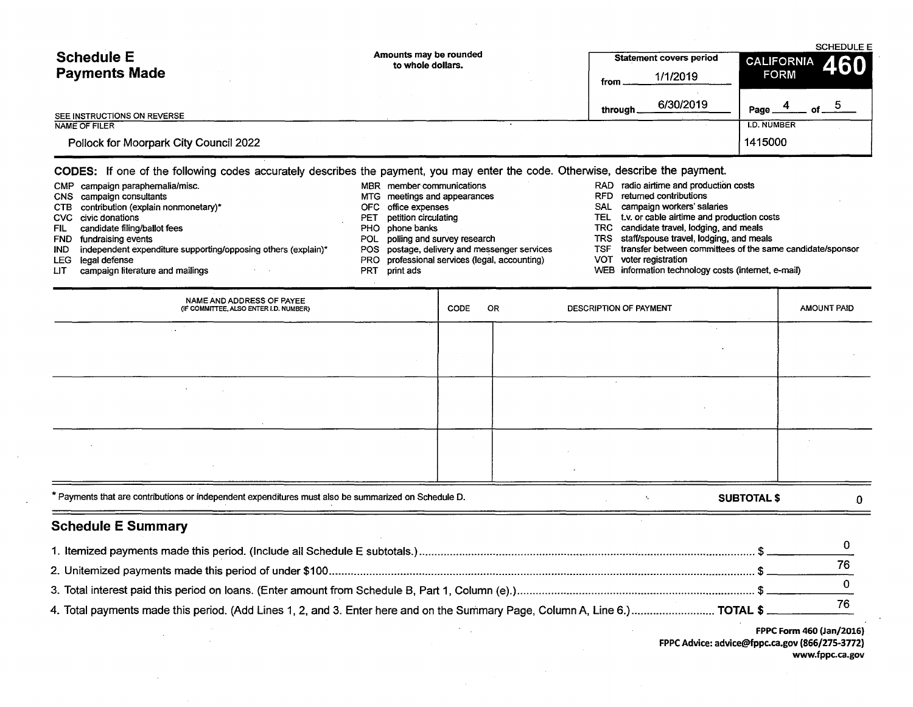| <b>Schedule E</b>                      | Amounts may be rounded<br>to whole dollars. | <b>Statement covers period</b> | <b>SCHEDULE E</b><br>460<br><b>CALIFORNIA</b> |  |  |
|----------------------------------------|---------------------------------------------|--------------------------------|-----------------------------------------------|--|--|
| <b>Payments Made</b>                   |                                             | 1/1/2019<br>from               | <b>FORM</b>                                   |  |  |
| SEE INSTRUCTIONS ON REVERSE            |                                             | 6/30/2019<br>through           | Page.<br>nf.                                  |  |  |
| NAME OF FILER                          |                                             |                                | <b>I.D. NUMBER</b>                            |  |  |
| Pollock for Moorpark City Council 2022 |                                             |                                | 1415000                                       |  |  |

CODES: If one of the following codes accurately describes the payment, you may enter the code. Otherwise, describe the payment.

- CMP campaign paraphernalia/misc. <br>CNS campaign consultants costs examples and appearances and appearances and appearances RFD returned contributions costs CTB contribution (explain nonmonetary)\* OFC office expenses CVC civic donations<br>CVC civic donations CVC civic donations **PET** petition circulating TEL t.v. or cable airtime and production costs<br>
PHO phone banks<br>
PHO phone banks<br>
PHO phone banks FIL candidate filing/ballot fees example and the PHO phone banks PHO phone banks TRC candidate travel, lodging, and meals<br>
POL polling and survey research TRS staff/spouse travel, lodging, and mea fundraising events<br>independent expenditure supporting/opposing others (explain)\* POS postage, delivery and messenger services TSF transfer between committees of the sar IND independent expenditure supporting/opposing others (explain)\* POS postage, delivery and messenger services TSF transfer between committees of the same candidate/sponsor<br>LEG legal defense
- 
- 
- 
- 
- 
- 
- -
- 
- Legal defense PRO professional services (legal, accounting) campaign literature and mailings PRT print ads
	-
- 
- 
- MTG meetings and appearances and appearances RFD returned contributions CFC office expenses
	-
	-
	-
	-
	-
- LIT campaign literature and mailings experience of the print ads PRT print ads WEB information technology costs (internet, e-mail)

| NAME AND ADDRESS OF PAYEE<br>(IF COMMITTEE, ALSO ENTER I.D. NUMBER)                                  | CODE | OR | DESCRIPTION OF PAYMENT                       |                    | <b>AMOUNT PAID</b> |
|------------------------------------------------------------------------------------------------------|------|----|----------------------------------------------|--------------------|--------------------|
| $\sim$<br>$\sim 10^{-1}$                                                                             |      |    |                                              | A.                 |                    |
|                                                                                                      |      |    |                                              |                    |                    |
| the company of the com-                                                                              |      |    | $\sim$                                       |                    |                    |
| $\sim$                                                                                               |      |    |                                              |                    |                    |
| $\sim$                                                                                               |      |    |                                              |                    |                    |
| $\sim$                                                                                               |      |    | $\bullet$                                    |                    |                    |
| * Payments that are contributions or independent expenditures must also be summarized on Schedule D. |      |    | $\Lambda_{\rm c}$<br><b>Carl Corporation</b> | <b>SUBTOTAL \$</b> | $\mathbf{0}$       |

# Schedule E Summary

| 4. Total payments made this period. (Add Lines 1, 2, and 3. Enter here and on the Summary Page, Column A, Line 6.) TOTAL \$ |  |
|-----------------------------------------------------------------------------------------------------------------------------|--|

FPPC Form 460 (Jan/2016} FPPC Advice: advice@fppc.ca.gov (866/275-3772) www.fppc.ca.gov